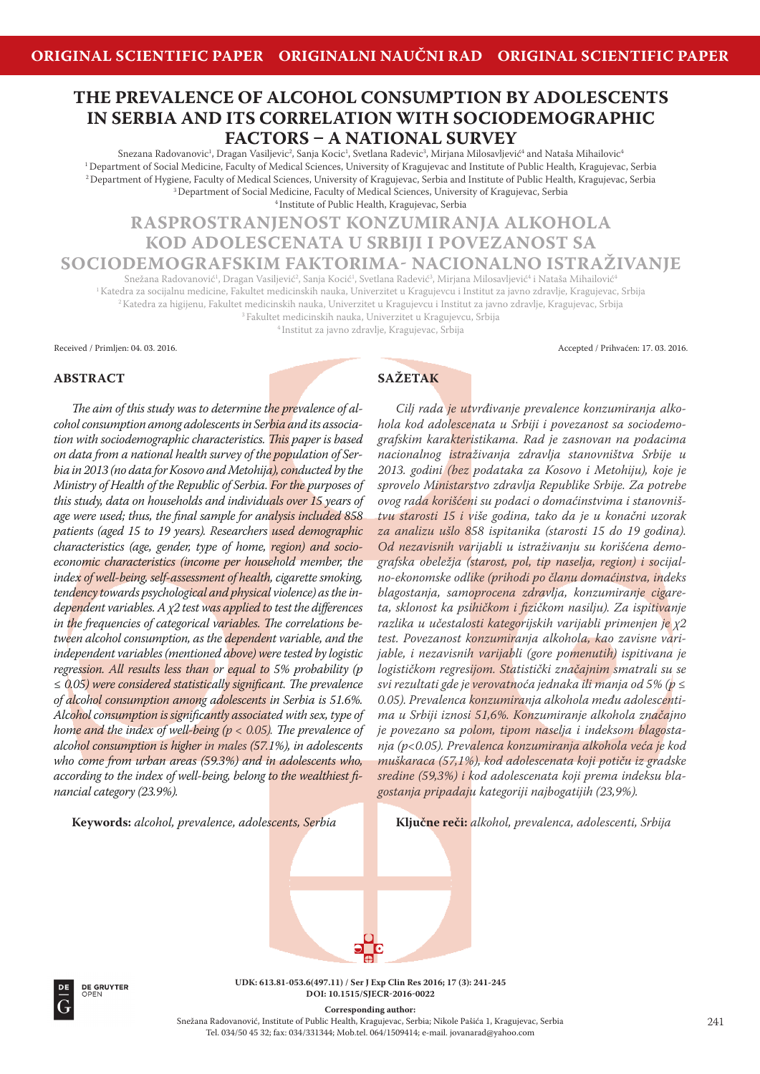# **THE PREVALENCE OF ALCOHOL CONSUMPTION BY ADOLESCENTS IN SERBIA AND ITS CORRELATION WITH SOCIODEMOGRAPHIC FACTORS - A NATIONAL SURVEY**

Snezana Radovanovic<sup>1</sup>, Dragan Vasiljevic<sup>2</sup>, Sanja Kocic<sup>1</sup>, Svetlana Radevic<sup>3</sup>, Mirjana Milosavljević<sup>4</sup> and Nataša Mihailovic<sup>4</sup> <sup>1</sup> Department of Social Medicine, Faculty of Medical Sciences, University of Kragujevac and Institute of Public Health, Kragujevac, Serbia 2 Department of Hygiene, Faculty of Medical Sciences, University of Kragujevac, Serbia and Institute of Public Health, Kragujevac, Serbia 3 Department of Social Medicine, Faculty of Medical Sciences, University of Kragujevac, Serbia 4 Institute of Public Health, Kragujevac, Serbia

**RASPROSTRANJENOST KONZUMIRANJA ALKOHOLA KOD ADOLESCENATA U SRBIJI I POVEZANOST SA**

**SOCIODEMOGRAFSKIM FAKTORIMA NACIONALNO ISTRAŽIVANJE**

Snežana Radovanović<sup>1</sup>, Dragan Vasiljević<sup>2</sup>, Sanja Kocić<sup>1</sup>, Svetlana Radević<sup>3</sup>, Mirjana Milosavljević<sup>4</sup> i Nataša Mihailović<sup>4</sup> 1 Katedra za socijalnu medicine, Fakultet medicinskih nauka, Univerzitet u Kragujevcu i Institut za javno zdravlje, Kragujevac, Srbija

2 Katedra za higijenu, Fakultet medicinskih nauka, Univerzitet u Kragujevcu i Institut za javno zdravlje, Kragujevac, Srbija

3 Fakultet medicinskih nauka, Univerzitet u Kragujevcu, Srbija

4 Institut za javno zdravlje, Kragujevac, Srbija

Received / Primljen: 04. 03. 2016. Accepted / Prihvaćen: 17. 03. 2016.

## **ABSTRACT**

The aim of this study was to determine the prevalence of al*cohol consumption among adolescents in Serbia and its associa*tion with sociodemographic characteristics. This paper is based *on data from a national health survey of the population of Serbia in 2013 (no data for Kosovo and Metohija), conducted by the Ministry of Health of the Republic of Serbia. For the purposes of this study, data on households and individuals over 15 years of*  age were used; thus, the final sample for analysis included 858 *patients (aged 15 to 19 years). Researchers used demographic characteristics (age, gender, type of home, region) and socioeconomic characteristics (income per household member, the index of well-being, self-assessment of health, cigarette smoking, tendency towards psychological and physical violence) as the independent variables. Aχ2 test was applied to test the differences*  in the frequencies of categorical variables. The correlations be*tween alcohol consumption, as the dependent variable, and the independent variables (mentioned above) were tested by logistic regression. All results less than or equal to 5% probability (p*  ≤ 0.05) were considered statistically significant. The prevalence *of alcohol consumption among adolescents in Serbia is 51.6%.*  Alcohol consumption is significantly associated with sex, type of *home and the index of well-being (* $p < 0.05$ *). The prevalence of alcohol consumption is higher in males (57.1%), in adolescents who come from urban areas (59.3%) and in adolescents who, according to the index of well-being, belong to the wealthiest financial category (23.9%).*

**Keywords:** *alcohol, prevalence, adolescents, Serbia*

# **SAŽETAK**

*Cilj rada je utvrđivanje prevalence konzumiranja alkohola kod adolescenata u Srbiji i povezanost sa sociodemografskim karakteristikama. Rad je zasnovan na podacima nacionalnog istraživanja zdravlja stanovništva Srbije u 2013. godini (bez podataka za Kosovo i Metohiju), koje je sprovelo Ministarstvo zdravlja Republike Srbije. Za potrebe ovog rada korišćeni su podaci o domaćinstvima i stanovništvu starosti 15 i više godina, tako da je u konačni uzorak za analizu ušlo 858 ispitanika (starosti 15 do 19 godina). Od nezavisnih varijabli u istraživanju su korišćena demografska obeležja (starost, pol, tip naselja, region) i socijalno-ekonomske odlike (prihodi po članu domaćinstva, indeks blagostanja, samoprocena zdravlja, konzumiranje cigareta, sklonost ka psihičkom i fi zičkom nasilju). Za ispitivanje razlika u učestalosti kategorijskih varijabli primenjen je χ2 test. Povezanost konzumiranja alkohola, kao zavisne varijable, i nezavisnih varijabli (gore pomenutih) ispitivana je logističkom regresijom. Statistički značajnim smatrali su se svi rezultati gde je verovatnoća jednaka ili manja od 5% (p ≤ 0.05). Prevalenca konzumiranja alkohola među adolescentima u Srbiji iznosi 51,6%. Konzumiranje alkohola značajno je povezano sa polom, tipom naselja i indeksom blagostanja (p<0.05). Prevalenca konzumiranja alkohola veća je kod muškaraca (57,1%), kod adolescenata koji potiču iz gradske sredine (59,3%) i kod adolescenata koji prema indeksu blagostanja pripadaju kategoriji najbogatijih (23,9%).*

**Ključne reči:** *alkohol, prevalenca, adolescenti, Srbija*



**DE GRUYTER** 

**UDK: 613.81-053.6(497.11) / Ser J Exp Clin Res 2016; 17 (3): 241-245 DOI: 10.1515/SJECR-2016-0022** 

**Corresponding author:**

Snežana Radovanović, Institute of Public Health, Kragujevac, Serbia; Nikole Pašića 1, Kragujevac, Serbia Tel. 034/50 45 32; fax: 034/331344; Mob.tel. 064/1509414; e-mail. jovanarad@yahoo.com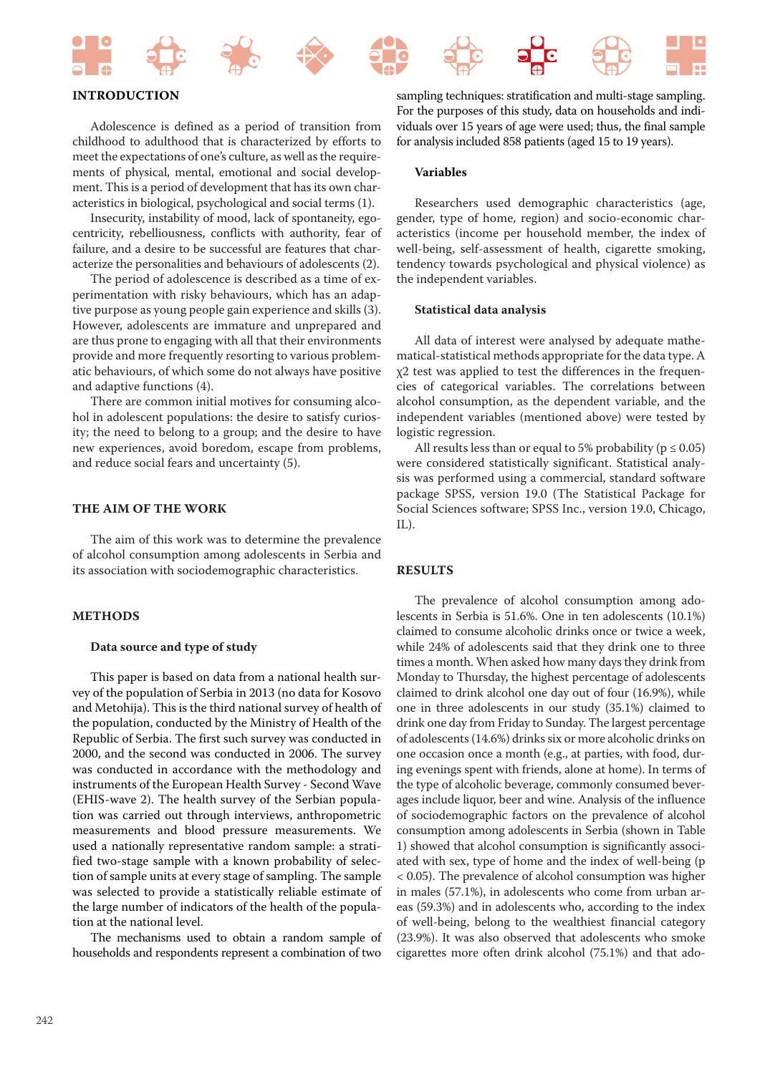

# **INTRODUCTION**

Adolescence is defined as a period of transition from childhood to adulthood that is characterized by efforts to meet the expectations of one's culture, as well as the requirements of physical, mental, emotional and social development. This is a period of development that has its own characteristics in biological, psychological and social terms (1).

Insecurity, instability of mood, lack of spontaneity, egocentricity, rebelliousness, conflicts with authority, fear of failure, and a desire to be successful are features that characterize the personalities and behaviours of adolescents (2).

The period of adolescence is described as a time of experimentation with risky behaviours, which has an adaptive purpose as young people gain experience and skills (3). However, adolescents are immature and unprepared and are thus prone to engaging with all that their environments provide and more frequently resorting to various problematic behaviours, of which some do not always have positive and adaptive functions (4).

There are common initial motives for consuming alcohol in adolescent populations: the desire to satisfy curiosity; the need to belong to a group; and the desire to have new experiences, avoid boredom, escape from problems, and reduce social fears and uncertainty (5).

# **THE AIM OF THE WORK**

The aim of this work was to determine the prevalence of alcohol consumption among adolescents in Serbia and its association with sociodemographic characteristics.

## **METHODS**

### **Data source and type of study**

This paper is based on data from a national health survey of the population of Serbia in 2013 (no data for Kosovo and Metohija). This is the third national survey of health of the population, conducted by the Ministry of Health of the Republic of Serbia. The first such survey was conducted in 2000, and the second was conducted in 2006. The survey was conducted in accordance with the methodology and instruments of the European Health Survey - Second Wave (EHIS-wave 2). The health survey of the Serbian population was carried out through interviews, anthropometric measurements and blood pressure measurements. We used a nationally representative random sample: a stratified two-stage sample with a known probability of selection of sample units at every stage of sampling. The sample was selected to provide a statistically reliable estimate of the large number of indicators of the health of the population at the national level.

The mechanisms used to obtain a random sample of households and respondents represent a combination of two

sampling techniques: stratification and multi-stage sampling. For the purposes of this study, data on households and individuals over 15 years of age were used; thus, the final sample for analysis included 858 patients (aged 15 to 19 years).

#### **Variables**

Researchers used demographic characteristics (age, gender, type of home, region) and socio-economic characteristics (income per household member, the index of well-being, self-assessment of health, cigarette smoking, tendency towards psychological and physical violence) as the independent variables.

#### **Statistical data analysis**

All data of interest were analysed by adequate mathematical-statistical methods appropriate for the data type. A χ2 test was applied to test the differences in the frequencies of categorical variables. The correlations between alcohol consumption, as the dependent variable, and the independent variables (mentioned above) were tested by logistic regression.

All results less than or equal to 5% probability ( $p \le 0.05$ ) were considered statistically significant. Statistical analysis was performed using a commercial, standard software package SPSS, version 19.0 (The Statistical Package for Social Sciences software; SPSS Inc., version 19.0, Chicago, IL).

# **RESULTS**

The prevalence of alcohol consumption among adolescents in Serbia is 51.6%. One in ten adolescents (10.1%) claimed to consume alcoholic drinks once or twice a week, while 24% of adolescents said that they drink one to three times a month. When asked how many days they drink from Monday to Thursday, the highest percentage of adolescents claimed to drink alcohol one day out of four (16.9%), while one in three adolescents in our study (35.1%) claimed to drink one day from Friday to Sunday. The largest percentage of adolescents (14.6%) drinks six or more alcoholic drinks on one occasion once a month (e.g., at parties, with food, during evenings spent with friends, alone at home). In terms of the type of alcoholic beverage, commonly consumed beverages include liquor, beer and wine. Analysis of the influence of sociodemographic factors on the prevalence of alcohol consumption among adolescents in Serbia (shown in Table 1) showed that alcohol consumption is significantly associated with sex, type of home and the index of well-being (p < 0.05). The prevalence of alcohol consumption was higher in males (57.1%), in adolescents who come from urban areas (59.3%) and in adolescents who, according to the index of well-being, belong to the wealthiest financial category (23.9%). It was also observed that adolescents who smoke cigarettes more often drink alcohol (75.1%) and that ado-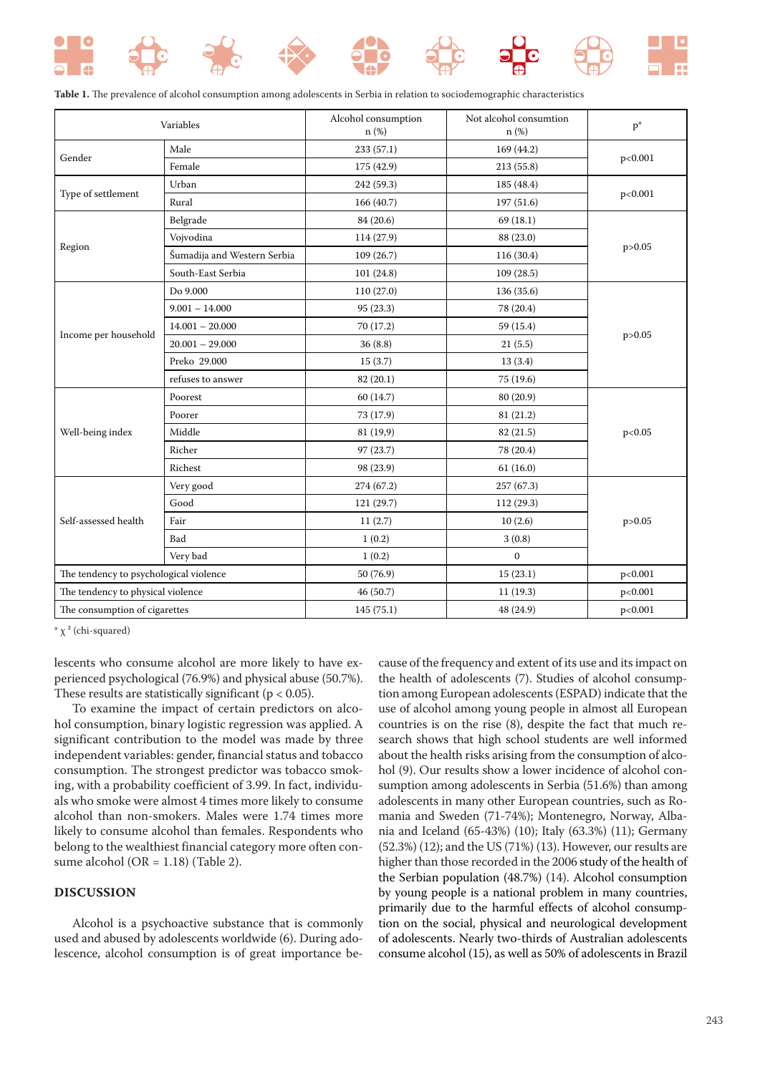

|  |  |  |  |  |  |  | Table 1. The prevalence of alcohol consumption among adolescents in Serbia in relation to sociodemographic characteristics |  |
|--|--|--|--|--|--|--|----------------------------------------------------------------------------------------------------------------------------|--|
|--|--|--|--|--|--|--|----------------------------------------------------------------------------------------------------------------------------|--|

| Variables                              |                             | Alcohol consumption<br>$n$ (%) | Not alcohol consumtion<br>n (%) | $p^*$    |  |
|----------------------------------------|-----------------------------|--------------------------------|---------------------------------|----------|--|
|                                        | Male                        | 233 (57.1)                     | 169 (44.2)                      |          |  |
| Gender                                 | Female                      | 175 (42.9)                     | 213 (55.8)                      | p<0.001  |  |
|                                        | Urban                       | 242 (59.3)                     | 185 (48.4)                      |          |  |
| Type of settlement                     | Rural                       | 166 (40.7)                     | 197 (51.6)                      | p<0.001  |  |
|                                        | Belgrade                    | 84 (20.6)                      | 69(18.1)                        | p > 0.05 |  |
|                                        | Vojvodina                   | 114 (27.9)                     | 88 (23.0)                       |          |  |
| Region                                 | Šumadija and Western Serbia | 109(26.7)                      | 116 (30.4)                      |          |  |
|                                        | South-East Serbia           | 101(24.8)                      | 109(28.5)                       |          |  |
|                                        | Do 9.000                    | 110 (27.0)                     | 136 (35.6)                      |          |  |
|                                        | $9.001 - 14.000$            | 95 (23.3)                      | 78 (20.4)                       |          |  |
|                                        | $14.001 - 20.000$           | 70 (17.2)<br>59 (15.4)         |                                 |          |  |
| Income per household                   | $20.001 - 29.000$           | 36(8.8)                        | 21(5.5)                         | p > 0.05 |  |
|                                        | Preko 29.000                | 15(3.7)<br>13(3.4)             |                                 |          |  |
|                                        | refuses to answer           | 82 (20.1)                      | 75 (19.6)                       |          |  |
|                                        | Poorest                     | 60(14.7)                       | 80 (20.9)                       |          |  |
|                                        | Poorer                      | 73 (17.9)                      | 81 (21.2)                       | p<0.05   |  |
| Well-being index                       | Middle                      | 81 (19,9)                      | 82 (21.5)                       |          |  |
|                                        | Richer                      | 78 (20.4)<br>97(23.7)          |                                 |          |  |
|                                        | Richest                     | 98 (23.9)                      | 61(16.0)                        |          |  |
|                                        | Very good                   | 274 (67.2)                     | 257(67.3)                       |          |  |
|                                        | Good                        | 121 (29.7)<br>112 (29.3)       |                                 |          |  |
| Self-assessed health                   | Fair                        | 11(2.7)                        | 10(2.6)                         | p > 0.05 |  |
|                                        | Bad                         | 1(0.2)                         | 3(0.8)                          |          |  |
|                                        | Very bad                    | 1(0.2)                         | $\mathbf{0}$                    |          |  |
| The tendency to psychological violence |                             | 50 (76.9)                      | 15(23.1)                        | p<0.001  |  |
| The tendency to physical violence      |                             | 46(50.7)                       | 11(19.3)                        | p<0.001  |  |
| The consumption of cigarettes          |                             | 145(75.1)                      | 48 (24.9)                       | p<0.001  |  |

 $*\chi^2$  (chi-squared)

lescents who consume alcohol are more likely to have experienced psychological (76.9%) and physical abuse (50.7%). These results are statistically significant ( $p < 0.05$ ).

To examine the impact of certain predictors on alcohol consumption, binary logistic regression was applied. A significant contribution to the model was made by three independent variables: gender, financial status and tobacco consumption. The strongest predictor was tobacco smoking, with a probability coefficient of 3.99. In fact, individuals who smoke were almost 4 times more likely to consume alcohol than non-smokers. Males were 1.74 times more likely to consume alcohol than females. Respondents who belong to the wealthiest financial category more often consume alcohol ( $OR = 1.18$ ) (Table 2).

# **DISCUSSION**

Alcohol is a psychoactive substance that is commonly used and abused by adolescents worldwide (6). During adolescence, alcohol consumption is of great importance be-

cause of the frequency and extent of its use and its impact on the health of adolescents (7). Studies of alcohol consumption among European adolescents (ESPAD) indicate that the use of alcohol among young people in almost all European countries is on the rise (8), despite the fact that much research shows that high school students are well informed about the health risks arising from the consumption of alcohol (9). Our results show a lower incidence of alcohol consumption among adolescents in Serbia (51.6%) than among adolescents in many other European countries, such as Romania and Sweden (71-74%); Montenegro, Norway, Albania and Iceland (65-43%) (10); Italy (63.3%) (11); Germany (52.3%) (12); and the US (71%) (13). However, our results are higher than those recorded in the 2006 study of the health of the Serbian population (48.7%) (14). Alcohol consumption by young people is a national problem in many countries, primarily due to the harmful effects of alcohol consumption on the social, physical and neurological development of adolescents. Nearly two-thirds of Australian adolescents consume alcohol (15), as well as 50% of adolescents in Brazil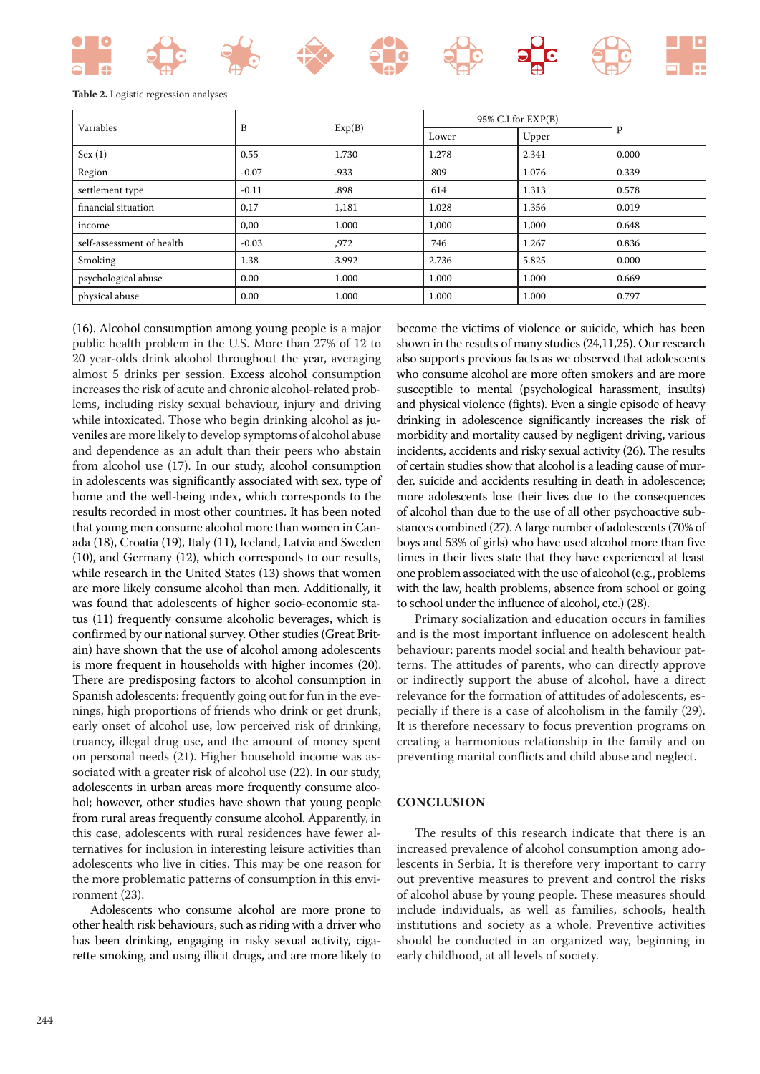#### **Table 2.** Logistic regression analyses

|                           | B       | Exp(B) | $95\%$ C.I.for $EXP(B)$ |       |       |
|---------------------------|---------|--------|-------------------------|-------|-------|
| Variables                 |         |        | Lower                   | Upper | P     |
| Sex(1)                    | 0.55    | 1.730  | 1.278                   | 2.341 | 0.000 |
| Region                    | $-0.07$ | .933   | .809                    | 1.076 | 0.339 |
| settlement type           | $-0.11$ | .898   | .614                    | 1.313 | 0.578 |
| financial situation       | 0,17    | 1,181  | 1.028                   | 1.356 | 0.019 |
| income                    | 0,00    | 1.000  | 1,000                   | 1,000 | 0.648 |
| self-assessment of health | $-0.03$ | ,972   | .746                    | 1.267 | 0.836 |
| Smoking                   | 1.38    | 3.992  | 2.736                   | 5.825 | 0.000 |
| psychological abuse       | 0.00    | 1.000  | 1.000                   | 1.000 | 0.669 |
| physical abuse            | 0.00    | 1.000  | 1.000                   | 1.000 | 0.797 |

(16). Alcohol consumption among young people is a major public health problem in the U.S. More than 27% of 12 to 20 year-olds drink alcohol throughout the year, averaging almost 5 drinks per session. Excess alcohol consumption increases the risk of acute and chronic alcohol-related problems, including risky sexual behaviour, injury and driving while intoxicated. Those who begin drinking alcohol as juveniles are more likely to develop symptoms of alcohol abuse and dependence as an adult than their peers who abstain from alcohol use (17). In our study, alcohol consumption in adolescents was significantly associated with sex, type of home and the well-being index, which corresponds to the results recorded in most other countries. It has been noted that young men consume alcohol more than women in Canada (18), Croatia (19), Italy (11), Iceland, Latvia and Sweden (10), and Germany (12), which corresponds to our results, while research in the United States (13) shows that women are more likely consume alcohol than men. Additionally, it was found that adolescents of higher socio-economic status (11) frequently consume alcoholic beverages, which is confirmed by our national survey. Other studies (Great Britain) have shown that the use of alcohol among adolescents is more frequent in households with higher incomes (20). There are predisposing factors to alcohol consumption in Spanish adolescents: frequently going out for fun in the evenings, high proportions of friends who drink or get drunk, early onset of alcohol use, low perceived risk of drinking, truancy, illegal drug use, and the amount of money spent on personal needs (21). Higher household income was associated with a greater risk of alcohol use (22). In our study, adolescents in urban areas more frequently consume alcohol; however, other studies have shown that young people from rural areas frequently consume alcohol. Apparently, in this case, adolescents with rural residences have fewer alternatives for inclusion in interesting leisure activities than adolescents who live in cities. This may be one reason for the more problematic patterns of consumption in this environment (23).

Adolescents who consume alcohol are more prone to other health risk behaviours, such as riding with a driver who has been drinking, engaging in risky sexual activity, cigarette smoking, and using illicit drugs, and are more likely to

become the victims of violence or suicide, which has been shown in the results of many studies (24,11,25). Our research also supports previous facts as we observed that adolescents who consume alcohol are more often smokers and are more susceptible to mental (psychological harassment, insults) and physical violence (fights). Even a single episode of heavy drinking in adolescence significantly increases the risk of morbidity and mortality caused by negligent driving, various incidents, accidents and risky sexual activity (26). The results of certain studies show that alcohol is a leading cause of murder, suicide and accidents resulting in death in adolescence; more adolescents lose their lives due to the consequences of alcohol than due to the use of all other psychoactive substances combined (27). A large number of adolescents (70% of boys and 53% of girls) who have used alcohol more than five times in their lives state that they have experienced at least one problem associated with the use of alcohol (e.g., problems with the law, health problems, absence from school or going to school under the influence of alcohol, etc.) (28).

Primary socialization and education occurs in families and is the most important influence on adolescent health behaviour; parents model social and health behaviour patterns. The attitudes of parents, who can directly approve or indirectly support the abuse of alcohol, have a direct relevance for the formation of attitudes of adolescents, especially if there is a case of alcoholism in the family (29). It is therefore necessary to focus prevention programs on creating a harmonious relationship in the family and on preventing marital conflicts and child abuse and neglect.

# **CONCLUSION**

The results of this research indicate that there is an increased prevalence of alcohol consumption among adolescents in Serbia. It is therefore very important to carry out preventive measures to prevent and control the risks of alcohol abuse by young people. These measures should include individuals, as well as families, schools, health institutions and society as a whole. Preventive activities should be conducted in an organized way, beginning in early childhood, at all levels of society.